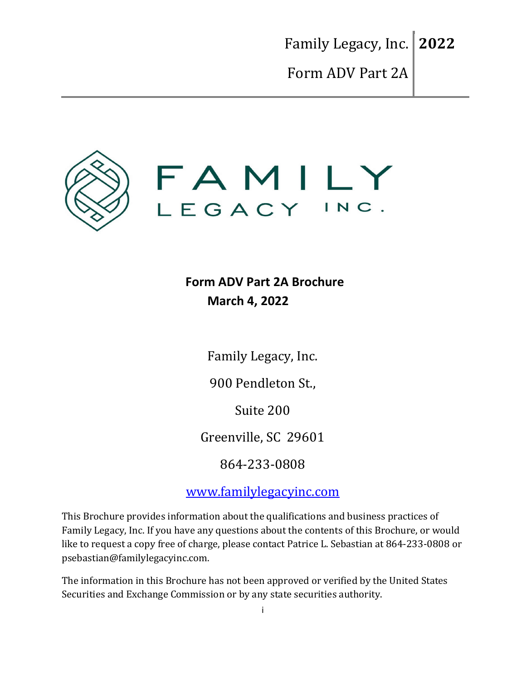

**Form ADV Part 2A Brochure March 4, 2022**

Family Legacy, Inc.

900 Pendleton St.,

Suite 200

Greenville, SC 29601

864-233-0808

www.familylegacyinc.com

This Brochure provides information about the qualifications and business practices of Family Legacy, Inc. If you have any questions about the contents of this Brochure, or would like to request a copy free of charge, please contact Patrice L. Sebastian at 864-233-0808 or psebastian@familylegacyinc.com.

The information in this Brochure has not been approved or verified by the United States Securities and Exchange Commission or by any state securities authority.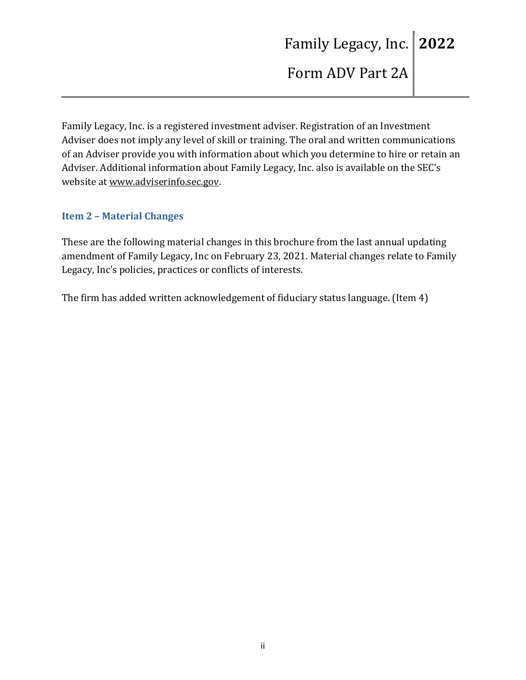Family Legacy, Inc. is a registered investment adviser. Registration of an Investment Adviser does not imply any level of skill or training. The oral and written communications of an Adviser provide you with information about which you determine to hire or retain an Adviser. Additional information about Family Legacy, Inc. also is available on the SEC's website at www.adviserinfo.sec.gov.

### **Item 2 – Material Changes**

These are the following material changes in this brochure from the last annual updating amendment of Family Legacy, Inc on February 23, 2021. Material changes relate to Family Legacy, Inc's policies, practices or conflicts of interests.

The firm has added written acknowledgement of fiduciary status language. (Item 4)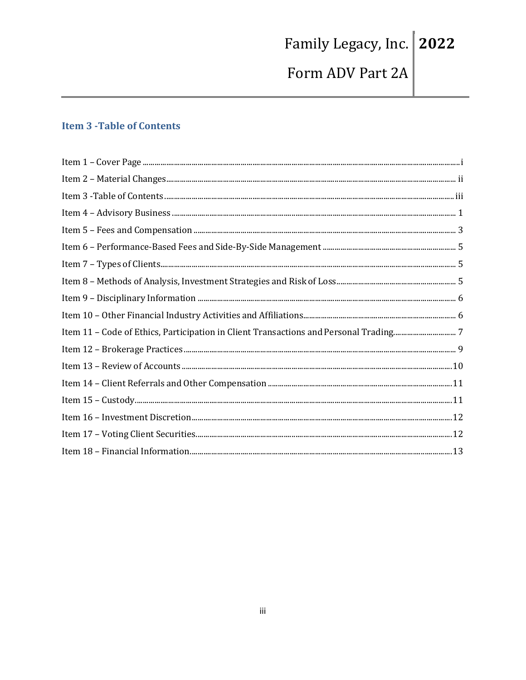# Family Legacy, Inc. 2022 Form ADV Part 2A

### **Item 3 - Table of Contents**

| $\begin{minipage}[c]{0.9\linewidth} \emph{Item 1 - Cover Page} \end{minipage} \begin{minipage}[c]{0.9\linewidth} \emph{if the number of edges in the image.} \emph{Output} \end{minipage} \begin{minipage}[c]{0.9\linewidth} \emph{if the number of edges in the image.} \emph{I} \end{minipage} \begin{minipage}[c]{0.9\linewidth} \emph{if the number of edges in the image.} \emph{I} \end{minipage} \begin{minipage}[c]{0.9\linewidth} \emph{if the number of edges in the image.} \emph{I} \end{minipage} \begin{minipage}[c]{0.9\linewidth} \emph{$ |
|-----------------------------------------------------------------------------------------------------------------------------------------------------------------------------------------------------------------------------------------------------------------------------------------------------------------------------------------------------------------------------------------------------------------------------------------------------------------------------------------------------------------------------------------------------------|
|                                                                                                                                                                                                                                                                                                                                                                                                                                                                                                                                                           |
|                                                                                                                                                                                                                                                                                                                                                                                                                                                                                                                                                           |
|                                                                                                                                                                                                                                                                                                                                                                                                                                                                                                                                                           |
|                                                                                                                                                                                                                                                                                                                                                                                                                                                                                                                                                           |
|                                                                                                                                                                                                                                                                                                                                                                                                                                                                                                                                                           |
|                                                                                                                                                                                                                                                                                                                                                                                                                                                                                                                                                           |
|                                                                                                                                                                                                                                                                                                                                                                                                                                                                                                                                                           |
|                                                                                                                                                                                                                                                                                                                                                                                                                                                                                                                                                           |
|                                                                                                                                                                                                                                                                                                                                                                                                                                                                                                                                                           |
|                                                                                                                                                                                                                                                                                                                                                                                                                                                                                                                                                           |
|                                                                                                                                                                                                                                                                                                                                                                                                                                                                                                                                                           |
|                                                                                                                                                                                                                                                                                                                                                                                                                                                                                                                                                           |
|                                                                                                                                                                                                                                                                                                                                                                                                                                                                                                                                                           |
|                                                                                                                                                                                                                                                                                                                                                                                                                                                                                                                                                           |
|                                                                                                                                                                                                                                                                                                                                                                                                                                                                                                                                                           |
|                                                                                                                                                                                                                                                                                                                                                                                                                                                                                                                                                           |
|                                                                                                                                                                                                                                                                                                                                                                                                                                                                                                                                                           |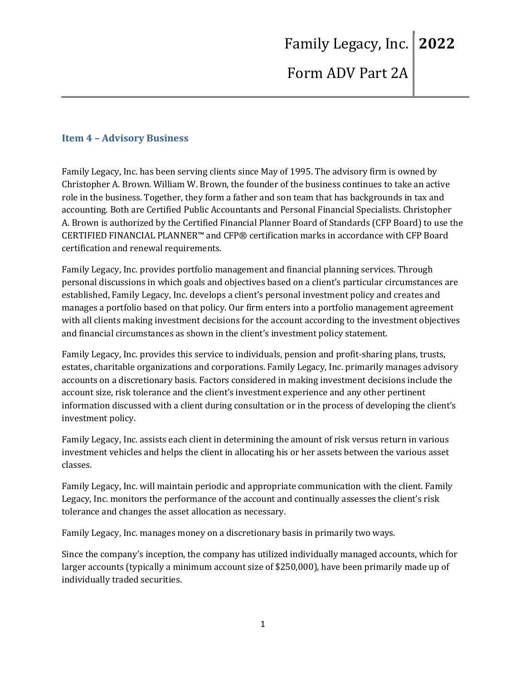### **Item 4 – Advisory Business**

Family Legacy, Inc. has been serving clients since May of 1995. The advisory firm is owned by Christopher A. Brown. William W. Brown, the founder of the business continues to take an active role in the business. Together, they form a father and son team that has backgrounds in tax and accounting. Both are Certified Public Accountants and Personal Financial Specialists. Christopher A. Brown is authorized by the Certified Financial Planner Board of Standards (CFP Board) to use the CERTIFIED FINANCIAL PLANNER™ and CFP® certification marks in accordance with CFP Board certification and renewal requirements.

Family Legacy, Inc. provides portfolio management and financial planning services. Through personal discussions in which goals and objectives based on a client's particular circumstances are established, Family Legacy, Inc. develops a client's personal investment policy and creates and manages a portfolio based on that policy. Our firm enters into a portfolio management agreement with all clients making investment decisions for the account according to the investment objectives and financial circumstances as shown in the client's investment policy statement.

Family Legacy, Inc. provides this service to individuals, pension and profit-sharing plans, trusts, estates, charitable organizations and corporations. Family Legacy, Inc. primarily manages advisory accounts on a discretionary basis. Factors considered in making investment decisions include the account size, risk tolerance and the client's investment experience and any other pertinent information discussed with a client during consultation or in the process of developing the client's investment policy.

Family Legacy, Inc. assists each client in determining the amount of risk versus return in various investment vehicles and helps the client in allocating his or her assets between the various asset classes.

Family Legacy, Inc. will maintain periodic and appropriate communication with the client. Family Legacy, Inc. monitors the performance of the account and continually assesses the client's risk tolerance and changes the asset allocation as necessary.

Family Legacy, Inc. manages money on a discretionary basis in primarily two ways.

Since the company's inception, the company has utilized individually managed accounts, which for larger accounts (typically a minimum account size of \$250,000), have been primarily made up of individually traded securities.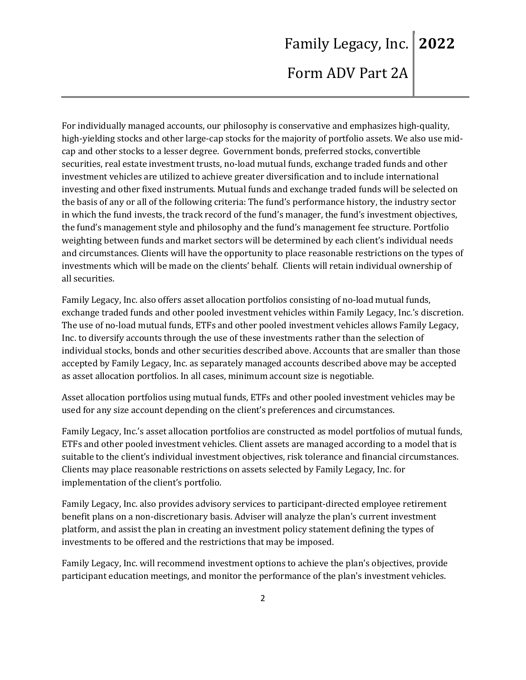For individually managed accounts, our philosophy is conservative and emphasizes high-quality,

high-yielding stocks and other large-cap stocks for the majority of portfolio assets. We also use midcap and other stocks to a lesser degree. Government bonds, preferred stocks, convertible securities, real estate investment trusts, no-load mutual funds, exchange traded funds and other investment vehicles are utilized to achieve greater diversification and to include international investing and other fixed instruments. Mutual funds and exchange traded funds will be selected on the basis of any or all of the following criteria: The fund's performance history, the industry sector in which the fund invests, the track record of the fund's manager, the fund's investment objectives, the fund's management style and philosophy and the fund's management fee structure. Portfolio weighting between funds and market sectors will be determined by each client's individual needs and circumstances. Clients will have the opportunity to place reasonable restrictions on the types of investments which will be made on the clients' behalf. Clients will retain individual ownership of all securities.

Family Legacy, Inc. also offers asset allocation portfolios consisting of no-load mutual funds, exchange traded funds and other pooled investment vehicles within Family Legacy, Inc.'s discretion. The use of no-load mutual funds, ETFs and other pooled investment vehicles allows Family Legacy, Inc. to diversify accounts through the use of these investments rather than the selection of individual stocks, bonds and other securities described above. Accounts that are smaller than those accepted by Family Legacy, Inc. as separately managed accounts described above may be accepted as asset allocation portfolios. In all cases, minimum account size is negotiable.

Asset allocation portfolios using mutual funds, ETFs and other pooled investment vehicles may be used for any size account depending on the client's preferences and circumstances.

Family Legacy, Inc.'s asset allocation portfolios are constructed as model portfolios of mutual funds, ETFs and other pooled investment vehicles. Client assets are managed according to a model that is suitable to the client's individual investment objectives, risk tolerance and financial circumstances. Clients may place reasonable restrictions on assets selected by Family Legacy, Inc. for implementation of the client's portfolio.

Family Legacy, Inc. also provides advisory services to participant-directed employee retirement benefit plans on a non-discretionary basis. Adviser will analyze the plan's current investment platform, and assist the plan in creating an investment policy statement defining the types of investments to be offered and the restrictions that may be imposed.

Family Legacy, Inc. will recommend investment options to achieve the plan's objectives, provide participant education meetings, and monitor the performance of the plan's investment vehicles.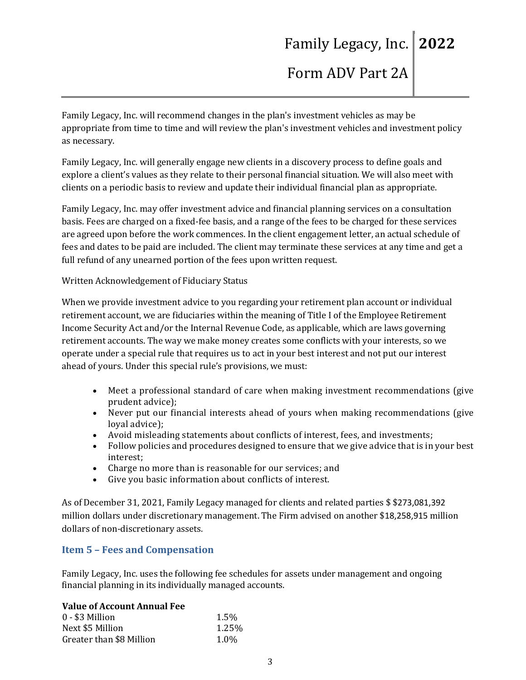Family Legacy, Inc. will recommend changes in the plan's investment vehicles as may be appropriate from time to time and will review the plan's investment vehicles and investment policy as necessary.

Family Legacy, Inc. will generally engage new clients in a discovery process to define goals and explore a client's values as they relate to their personal financial situation. We will also meet with clients on a periodic basis to review and update their individual financial plan as appropriate.

Family Legacy, Inc. may offer investment advice and financial planning services on a consultation basis. Fees are charged on a fixed-fee basis, and a range of the fees to be charged for these services are agreed upon before the work commences. In the client engagement letter, an actual schedule of fees and dates to be paid are included. The client may terminate these services at any time and get a full refund of any unearned portion of the fees upon written request.

Written Acknowledgement of Fiduciary Status

When we provide investment advice to you regarding your retirement plan account or individual retirement account, we are fiduciaries within the meaning of Title I of the Employee Retirement Income Security Act and/or the Internal Revenue Code, as applicable, which are laws governing retirement accounts. The way we make money creates some conflicts with your interests, so we operate under a special rule that requires us to act in your best interest and not put our interest ahead of yours. Under this special rule's provisions, we must:

- Meet a professional standard of care when making investment recommendations (give prudent advice);
- Never put our financial interests ahead of yours when making recommendations (give loyal advice);
- Avoid misleading statements about conflicts of interest, fees, and investments;
- Follow policies and procedures designed to ensure that we give advice that is in your best interest;
- Charge no more than is reasonable for our services; and
- Give you basic information about conflicts of interest.

As of December 31, 2021, Family Legacy managed for clients and related parties \$ \$273,081,392 million dollars under discretionary management. The Firm advised on another \$18,258,915 million dollars of non-discretionary assets.

### **Item 5 – Fees and Compensation**

Family Legacy, Inc. uses the following fee schedules for assets under management and ongoing financial planning in its individually managed accounts.

#### **Value of Account Annual Fee**

| $0 - $3$ Million         | 1.5%  |
|--------------------------|-------|
| Next \$5 Million         | 1.25% |
| Greater than \$8 Million | 1.0%  |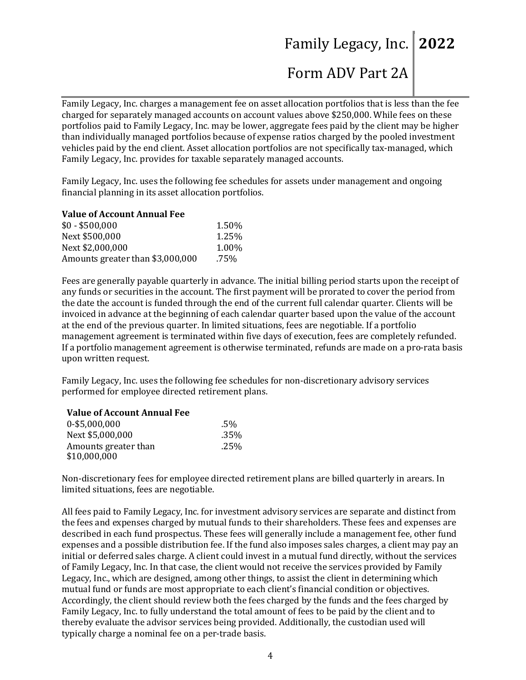# Family Legacy, Inc. **2022**

# Form ADV Part 2A

Family Legacy, Inc. charges a management fee on asset allocation portfolios that is less than the fee charged for separately managed accounts on account values above \$250,000. While fees on these portfolios paid to Family Legacy, Inc. may be lower, aggregate fees paid by the client may be higher than individually managed portfolios because of expense ratios charged by the pooled investment vehicles paid by the end client. Asset allocation portfolios are not specifically tax-managed, which Family Legacy, Inc. provides for taxable separately managed accounts.

Family Legacy, Inc. uses the following fee schedules for assets under management and ongoing financial planning in its asset allocation portfolios.

#### **Value of Account Annual Fee**

| $$0 - $500,000$                  | 1.50% |
|----------------------------------|-------|
| Next \$500,000                   | 1.25% |
| Next \$2,000,000                 | 1.00% |
| Amounts greater than \$3,000,000 | .75%  |

Fees are generally payable quarterly in advance. The initial billing period starts upon the receipt of any funds or securities in the account. The first payment will be prorated to cover the period from the date the account is funded through the end of the current full calendar quarter. Clients will be invoiced in advance at the beginning of each calendar quarter based upon the value of the account at the end of the previous quarter. In limited situations, fees are negotiable. If a portfolio management agreement is terminated within five days of execution, fees are completely refunded. If a portfolio management agreement is otherwise terminated, refunds are made on a pro-rata basis upon written request.

Family Legacy, Inc. uses the following fee schedules for non-discretionary advisory services performed for employee directed retirement plans.

#### **Value of Account Annual Fee**

| 0-\$5,000,000        | .5%  |
|----------------------|------|
| Next \$5,000,000     | .35% |
| Amounts greater than | .25% |
| \$10,000,000         |      |

Non-discretionary fees for employee directed retirement plans are billed quarterly in arears. In limited situations, fees are negotiable.

All fees paid to Family Legacy, Inc. for investment advisory services are separate and distinct from the fees and expenses charged by mutual funds to their shareholders. These fees and expenses are described in each fund prospectus. These fees will generally include a management fee, other fund expenses and a possible distribution fee. If the fund also imposes sales charges, a client may pay an initial or deferred sales charge. A client could invest in a mutual fund directly, without the services of Family Legacy, Inc. In that case, the client would not receive the services provided by Family Legacy, Inc., which are designed, among other things, to assist the client in determining which mutual fund or funds are most appropriate to each client's financial condition or objectives. Accordingly, the client should review both the fees charged by the funds and the fees charged by Family Legacy, Inc. to fully understand the total amount of fees to be paid by the client and to thereby evaluate the advisor services being provided. Additionally, the custodian used will typically charge a nominal fee on a per-trade basis.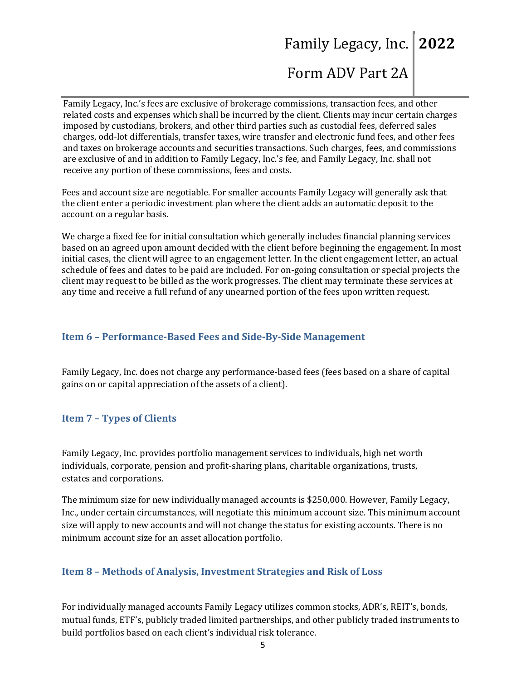# Family Legacy, Inc. **2022**

# Form ADV Part 2A

Family Legacy, Inc.'s fees are exclusive of brokerage commissions, transaction fees, and other related costs and expenses which shall be incurred by the client. Clients may incur certain charges imposed by custodians, brokers, and other third parties such as custodial fees, deferred sales charges, odd-lot differentials, transfer taxes, wire transfer and electronic fund fees, and other fees and taxes on brokerage accounts and securities transactions. Such charges, fees, and commissions are exclusive of and in addition to Family Legacy, Inc.'s fee, and Family Legacy, Inc. shall not receive any portion of these commissions, fees and costs.

Fees and account size are negotiable. For smaller accounts Family Legacy will generally ask that the client enter a periodic investment plan where the client adds an automatic deposit to the account on a regular basis.

We charge a fixed fee for initial consultation which generally includes financial planning services based on an agreed upon amount decided with the client before beginning the engagement. In most initial cases, the client will agree to an engagement letter. In the client engagement letter, an actual schedule of fees and dates to be paid are included. For on-going consultation or special projects the client may request to be billed as the work progresses. The client may terminate these services at any time and receive a full refund of any unearned portion of the fees upon written request.

#### **Item 6 – Performance-Based Fees and Side-By-Side Management**

Family Legacy, Inc. does not charge any performance-based fees (fees based on a share of capital gains on or capital appreciation of the assets of a client).

#### **Item 7 – Types of Clients**

Family Legacy, Inc. provides portfolio management services to individuals, high net worth individuals, corporate, pension and profit-sharing plans, charitable organizations, trusts, estates and corporations.

The minimum size for new individually managed accounts is \$250,000. However, Family Legacy, Inc., under certain circumstances, will negotiate this minimum account size. This minimum account size will apply to new accounts and will not change the status for existing accounts. There is no minimum account size for an asset allocation portfolio.

### **Item 8 – Methods of Analysis, Investment Strategies and Risk of Loss**

For individually managed accounts Family Legacy utilizes common stocks, ADR's, REIT's, bonds, mutual funds, ETF's, publicly traded limited partnerships, and other publicly traded instruments to build portfolios based on each client's individual risk tolerance.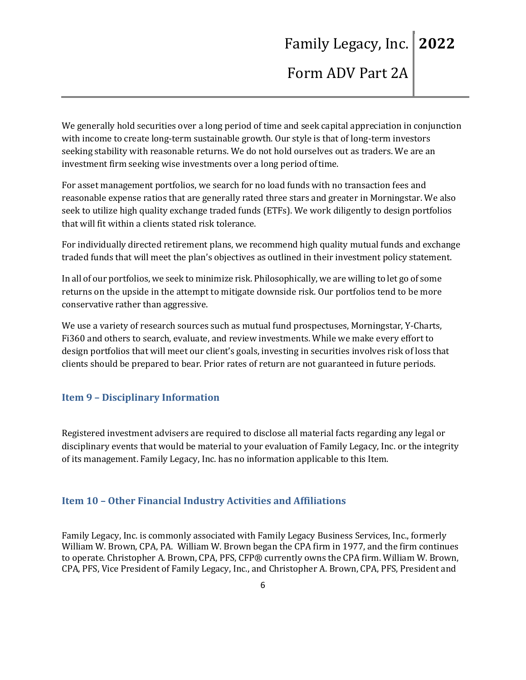We generally hold securities over a long period of time and seek capital appreciation in conjunction with income to create long-term sustainable growth. Our style is that of long-term investors seeking stability with reasonable returns. We do not hold ourselves out as traders. We are an investment firm seeking wise investments over a long period of time.

For asset management portfolios, we search for no load funds with no transaction fees and reasonable expense ratios that are generally rated three stars and greater in Morningstar. We also seek to utilize high quality exchange traded funds (ETFs). We work diligently to design portfolios that will fit within a clients stated risk tolerance.

For individually directed retirement plans, we recommend high quality mutual funds and exchange traded funds that will meet the plan's objectives as outlined in their investment policy statement.

In all of our portfolios, we seek to minimize risk. Philosophically, we are willing to let go of some returns on the upside in the attempt to mitigate downside risk. Our portfolios tend to be more conservative rather than aggressive.

We use a variety of research sources such as mutual fund prospectuses, Morningstar, Y-Charts, Fi360 and others to search, evaluate, and review investments. While we make every effort to design portfolios that will meet our client's goals, investing in securities involves risk of loss that clients should be prepared to bear. Prior rates of return are not guaranteed in future periods.

#### **Item 9 – Disciplinary Information**

Registered investment advisers are required to disclose all material facts regarding any legal or disciplinary events that would be material to your evaluation of Family Legacy, Inc. or the integrity of its management. Family Legacy, Inc. has no information applicable to this Item.

#### **Item 10 – Other Financial Industry Activities and Affiliations**

Family Legacy, Inc. is commonly associated with Family Legacy Business Services, Inc., formerly William W. Brown, CPA, PA. William W. Brown began the CPA firm in 1977, and the firm continues to operate. Christopher A. Brown, CPA, PFS, CFP® currently owns the CPA firm. William W. Brown, CPA, PFS, Vice President of Family Legacy, Inc., and Christopher A. Brown, CPA, PFS, President and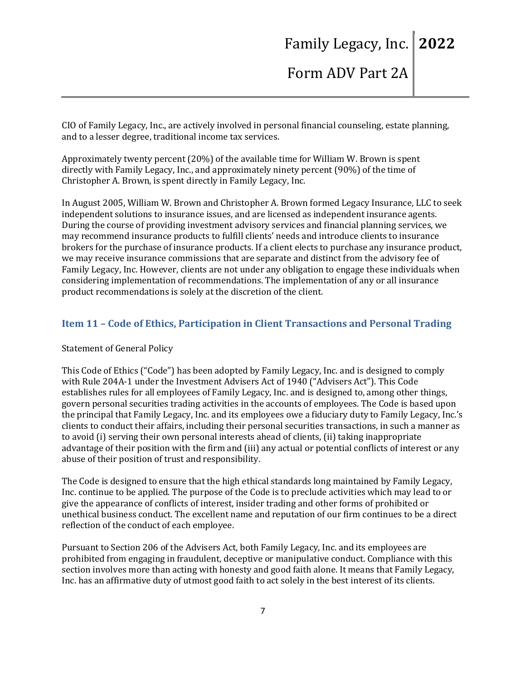CIO of Family Legacy, Inc., are actively involved in personal financial counseling, estate planning, and to a lesser degree, traditional income tax services.

Approximately twenty percent (20%) of the available time for William W. Brown is spent directly with Family Legacy, Inc., and approximately ninety percent (90%) of the time of Christopher A. Brown, is spent directly in Family Legacy, Inc.

In August 2005, William W. Brown and Christopher A. Brown formed Legacy Insurance, LLC to seek independent solutions to insurance issues, and are licensed as independent insurance agents. During the course of providing investment advisory services and financial planning services, we may recommend insurance products to fulfill clients' needs and introduce clients to insurance brokers for the purchase of insurance products. If a client elects to purchase any insurance product, we may receive insurance commissions that are separate and distinct from the advisory fee of Family Legacy, Inc. However, clients are not under any obligation to engage these individuals when considering implementation of recommendations. The implementation of any or all insurance product recommendations is solely at the discretion of the client.

### **Item 11 – Code of Ethics, Participation in Client Transactions and Personal Trading**

#### Statement of General Policy

This Code of Ethics ("Code") has been adopted by Family Legacy, Inc. and is designed to comply with Rule 204A-1 under the Investment Advisers Act of 1940 ("Advisers Act"). This Code establishes rules for all employees of Family Legacy, Inc. and is designed to, among other things, govern personal securities trading activities in the accounts of employees. The Code is based upon the principal that Family Legacy, Inc. and its employees owe a fiduciary duty to Family Legacy, Inc.'s clients to conduct their affairs, including their personal securities transactions, in such a manner as to avoid (i) serving their own personal interests ahead of clients, (ii) taking inappropriate advantage of their position with the firm and (iii) any actual or potential conflicts of interest or any abuse of their position of trust and responsibility.

The Code is designed to ensure that the high ethical standards long maintained by Family Legacy, Inc. continue to be applied. The purpose of the Code is to preclude activities which may lead to or give the appearance of conflicts of interest, insider trading and other forms of prohibited or unethical business conduct. The excellent name and reputation of our firm continues to be a direct reflection of the conduct of each employee.

Pursuant to Section 206 of the Advisers Act, both Family Legacy, Inc. and its employees are prohibited from engaging in fraudulent, deceptive or manipulative conduct. Compliance with this section involves more than acting with honesty and good faith alone. It means that Family Legacy, Inc. has an affirmative duty of utmost good faith to act solely in the best interest of its clients.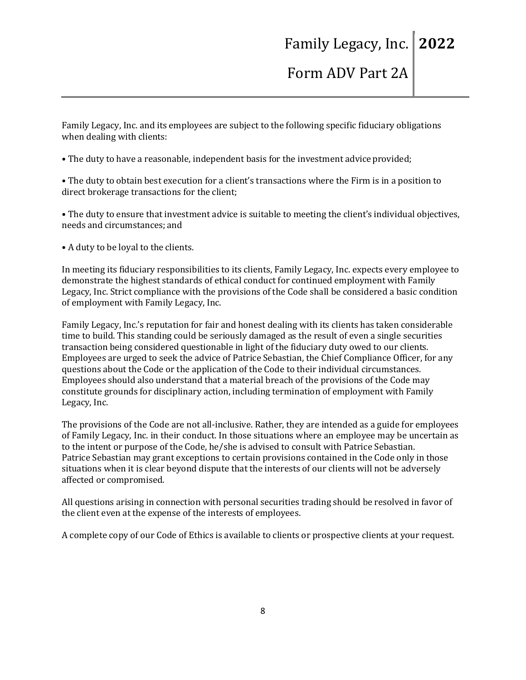Family Legacy, Inc. and its employees are subject to the following specific fiduciary obligations when dealing with clients:

• The duty to have a reasonable, independent basis for the investment advice provided;

• The duty to obtain best execution for a client's transactions where the Firm is in a position to direct brokerage transactions for the client;

• The duty to ensure that investment advice is suitable to meeting the client's individual objectives, needs and circumstances; and

• A duty to be loyal to the clients.

In meeting its fiduciary responsibilities to its clients, Family Legacy, Inc. expects every employee to demonstrate the highest standards of ethical conduct for continued employment with Family Legacy, Inc. Strict compliance with the provisions of the Code shall be considered a basic condition of employment with Family Legacy, Inc.

Family Legacy, Inc.'s reputation for fair and honest dealing with its clients has taken considerable time to build. This standing could be seriously damaged as the result of even a single securities transaction being considered questionable in light of the fiduciary duty owed to our clients. Employees are urged to seek the advice of Patrice Sebastian, the Chief Compliance Officer, for any questions about the Code or the application of the Code to their individual circumstances. Employees should also understand that a material breach of the provisions of the Code may constitute grounds for disciplinary action, including termination of employment with Family Legacy, Inc.

The provisions of the Code are not all-inclusive. Rather, they are intended as a guide for employees of Family Legacy, Inc. in their conduct. In those situations where an employee may be uncertain as to the intent or purpose of the Code, he/she is advised to consult with Patrice Sebastian. Patrice Sebastian may grant exceptions to certain provisions contained in the Code only in those situations when it is clear beyond dispute that the interests of our clients will not be adversely affected or compromised.

All questions arising in connection with personal securities trading should be resolved in favor of the client even at the expense of the interests of employees.

A complete copy of our Code of Ethics is available to clients or prospective clients at your request.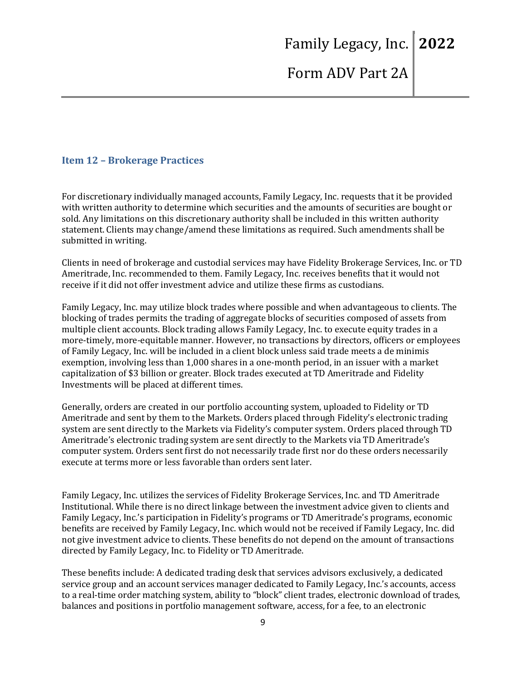#### **Item 12 – Brokerage Practices**

For discretionary individually managed accounts, Family Legacy, Inc. requests that it be provided with written authority to determine which securities and the amounts of securities are bought or sold. Any limitations on this discretionary authority shall be included in this written authority statement. Clients may change/amend these limitations as required. Such amendments shall be submitted in writing.

Clients in need of brokerage and custodial services may have Fidelity Brokerage Services, Inc. or TD Ameritrade, Inc. recommended to them. Family Legacy, Inc. receives benefits that it would not receive if it did not offer investment advice and utilize these firms as custodians.

Family Legacy, Inc. may utilize block trades where possible and when advantageous to clients. The blocking of trades permits the trading of aggregate blocks of securities composed of assets from multiple client accounts. Block trading allows Family Legacy, Inc. to execute equity trades in a more-timely, more-equitable manner. However, no transactions by directors, officers or employees of Family Legacy, Inc. will be included in a client block unless said trade meets a de minimis exemption, involving less than 1,000 shares in a one-month period, in an issuer with a market capitalization of \$3 billion or greater. Block trades executed at TD Ameritrade and Fidelity Investments will be placed at different times.

Generally, orders are created in our portfolio accounting system, uploaded to Fidelity or TD Ameritrade and sent by them to the Markets. Orders placed through Fidelity's electronic trading system are sent directly to the Markets via Fidelity's computer system. Orders placed through TD Ameritrade's electronic trading system are sent directly to the Markets via TD Ameritrade's computer system. Orders sent first do not necessarily trade first nor do these orders necessarily execute at terms more or less favorable than orders sent later.

Family Legacy, Inc. utilizes the services of Fidelity Brokerage Services, Inc. and TD Ameritrade Institutional. While there is no direct linkage between the investment advice given to clients and Family Legacy, Inc.'s participation in Fidelity's programs or TD Ameritrade's programs, economic benefits are received by Family Legacy, Inc. which would not be received if Family Legacy, Inc. did not give investment advice to clients. These benefits do not depend on the amount of transactions directed by Family Legacy, Inc. to Fidelity or TD Ameritrade.

These benefits include: A dedicated trading desk that services advisors exclusively, a dedicated service group and an account services manager dedicated to Family Legacy, Inc.'s accounts, access to a real-time order matching system, ability to "block" client trades, electronic download of trades, balances and positions in portfolio management software, access, for a fee, to an electronic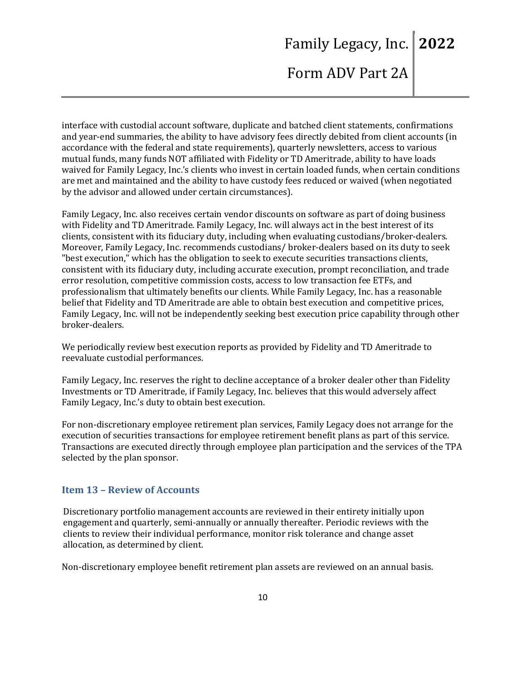interface with custodial account software, duplicate and batched client statements, confirmations and year-end summaries, the ability to have advisory fees directly debited from client accounts (in accordance with the federal and state requirements), quarterly newsletters, access to various mutual funds, many funds NOT affiliated with Fidelity or TD Ameritrade, ability to have loads waived for Family Legacy, Inc.'s clients who invest in certain loaded funds, when certain conditions are met and maintained and the ability to have custody fees reduced or waived (when negotiated by the advisor and allowed under certain circumstances).

Family Legacy, Inc. also receives certain vendor discounts on software as part of doing business with Fidelity and TD Ameritrade. Family Legacy, Inc. will always act in the best interest of its clients, consistent with its fiduciary duty, including when evaluating custodians/broker-dealers. Moreover, Family Legacy, Inc. recommends custodians/ broker-dealers based on its duty to seek "best execution," which has the obligation to seek to execute securities transactions clients, consistent with its fiduciary duty, including accurate execution, prompt reconciliation, and trade error resolution, competitive commission costs, access to low transaction fee ETFs, and professionalism that ultimately benefits our clients. While Family Legacy, Inc. has a reasonable belief that Fidelity and TD Ameritrade are able to obtain best execution and competitive prices, Family Legacy, Inc. will not be independently seeking best execution price capability through other broker-dealers.

We periodically review best execution reports as provided by Fidelity and TD Ameritrade to reevaluate custodial performances.

Family Legacy, Inc. reserves the right to decline acceptance of a broker dealer other than Fidelity Investments or TD Ameritrade, if Family Legacy, Inc. believes that this would adversely affect Family Legacy, Inc.'s duty to obtain best execution.

For non-discretionary employee retirement plan services, Family Legacy does not arrange for the execution of securities transactions for employee retirement benefit plans as part of this service. Transactions are executed directly through employee plan participation and the services of the TPA selected by the plan sponsor.

#### **Item 13 – Review of Accounts**

Discretionary portfolio management accounts are reviewed in their entirety initially upon engagement and quarterly, semi-annually or annually thereafter. Periodic reviews with the clients to review their individual performance, monitor risk tolerance and change asset allocation, as determined by client.

Non-discretionary employee benefit retirement plan assets are reviewed on an annual basis.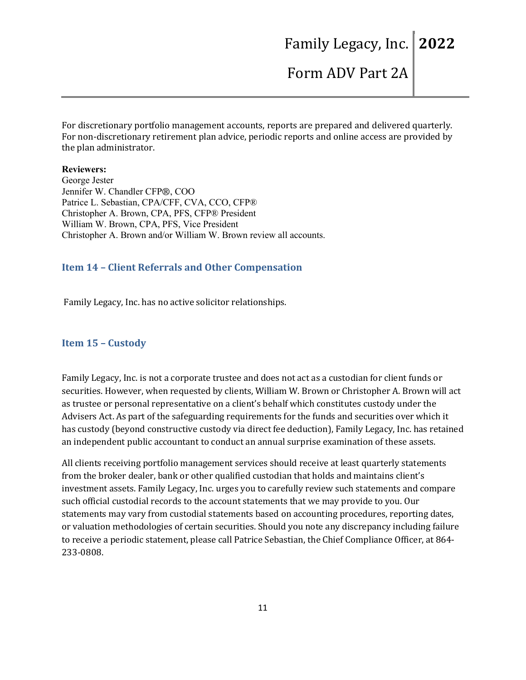# Family Legacy, Inc. **2022**

Form ADV Part 2A

For discretionary portfolio management accounts, reports are prepared and delivered quarterly. For non-discretionary retirement plan advice, periodic reports and online access are provided by the plan administrator.

#### **Reviewers:**

George Jester Jennifer W. Chandler CFP®, COO Patrice L. Sebastian, CPA/CFF, CVA, CCO, CFP® Christopher A. Brown, CPA, PFS, CFP® President William W. Brown, CPA, PFS, Vice President Christopher A. Brown and/or William W. Brown review all accounts.

#### **Item 14 – Client Referrals and Other Compensation**

Family Legacy, Inc. has no active solicitor relationships.

#### **Item 15 – Custody**

Family Legacy, Inc. is not a corporate trustee and does not act as a custodian for client funds or securities. However, when requested by clients, William W. Brown or Christopher A. Brown will act as trustee or personal representative on a client's behalf which constitutes custody under the Advisers Act. As part of the safeguarding requirements for the funds and securities over which it has custody (beyond constructive custody via direct fee deduction), Family Legacy, Inc. has retained an independent public accountant to conduct an annual surprise examination of these assets.

All clients receiving portfolio management services should receive at least quarterly statements from the broker dealer, bank or other qualified custodian that holds and maintains client's investment assets. Family Legacy, Inc. urges you to carefully review such statements and compare such official custodial records to the account statements that we may provide to you. Our statements may vary from custodial statements based on accounting procedures, reporting dates, or valuation methodologies of certain securities. Should you note any discrepancy including failure to receive a periodic statement, please call Patrice Sebastian, the Chief Compliance Officer, at 864- 233-0808.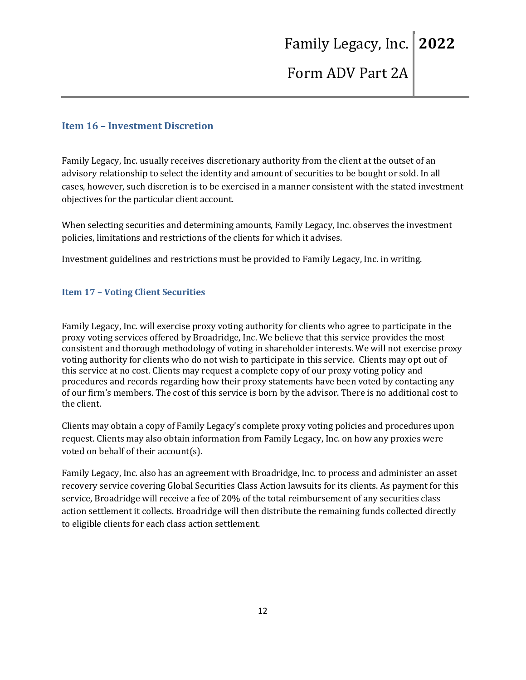#### **Item 16 – Investment Discretion**

Family Legacy, Inc. usually receives discretionary authority from the client at the outset of an advisory relationship to select the identity and amount of securities to be bought or sold. In all cases, however, such discretion is to be exercised in a manner consistent with the stated investment objectives for the particular client account.

When selecting securities and determining amounts, Family Legacy, Inc. observes the investment policies, limitations and restrictions of the clients for which it advises.

Investment guidelines and restrictions must be provided to Family Legacy, Inc. in writing.

#### **Item 17 – Voting Client Securities**

Family Legacy, Inc. will exercise proxy voting authority for clients who agree to participate in the proxy voting services offered by Broadridge, Inc. We believe that this service provides the most consistent and thorough methodology of voting in shareholder interests. We will not exercise proxy voting authority for clients who do not wish to participate in this service. Clients may opt out of this service at no cost. Clients may request a complete copy of our proxy voting policy and procedures and records regarding how their proxy statements have been voted by contacting any of our firm's members. The cost of this service is born by the advisor. There is no additional cost to the client.

Clients may obtain a copy of Family Legacy's complete proxy voting policies and procedures upon request. Clients may also obtain information from Family Legacy, Inc. on how any proxies were voted on behalf of their account(s).

Family Legacy, Inc. also has an agreement with Broadridge, Inc. to process and administer an asset recovery service covering Global Securities Class Action lawsuits for its clients. As payment for this service, Broadridge will receive a fee of 20% of the total reimbursement of any securities class action settlement it collects. Broadridge will then distribute the remaining funds collected directly to eligible clients for each class action settlement.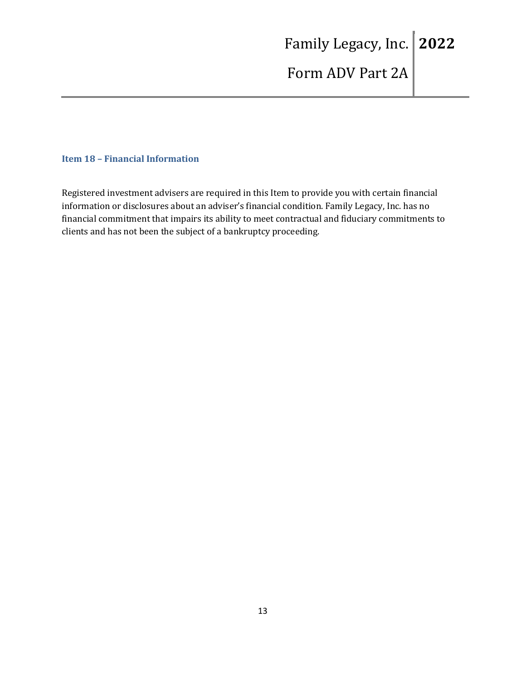#### **Item 18 – Financial Information**

Registered investment advisers are required in this Item to provide you with certain financial information or disclosures about an adviser's financial condition. Family Legacy, Inc. has no financial commitment that impairs its ability to meet contractual and fiduciary commitments to clients and has not been the subject of a bankruptcy proceeding.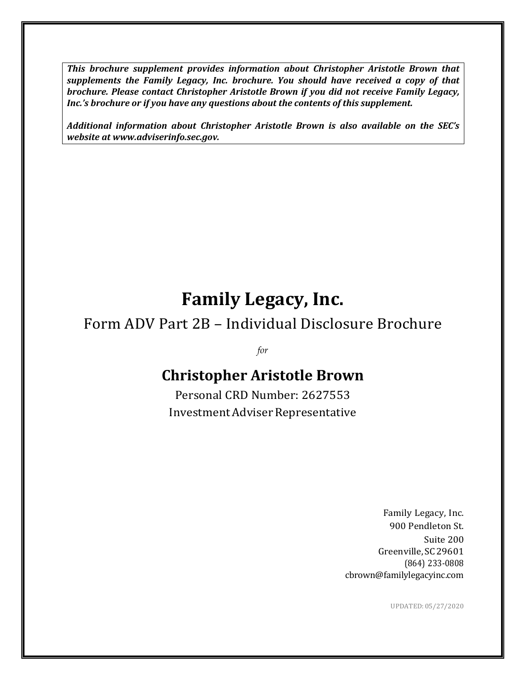*This brochure supplement provides information about Christopher Aristotle Brown that supplements the Family Legacy, Inc. brochure. You should have received a copy of that brochure. Please contact Christopher Aristotle Brown if you did not receive Family Legacy, Inc.'s brochure or if you have any questions about the contents of this supplement.*

*Additional information about Christopher Aristotle Brown is also available on the SEC's website at www.adviserinfo.sec.gov.*

# **Family Legacy, Inc.**

# Form ADV Part 2B – Individual Disclosure Brochure

*for*

# **Christopher Aristotle Brown**

Personal CRD Number: 2627553 Investment Adviser Representative

> Family Legacy, Inc. 900 Pendleton St. Suite 200 Greenville, SC29601 (864) 233-0808 cbrown@familylegacyinc.com

> > UPDATED:05/27/2020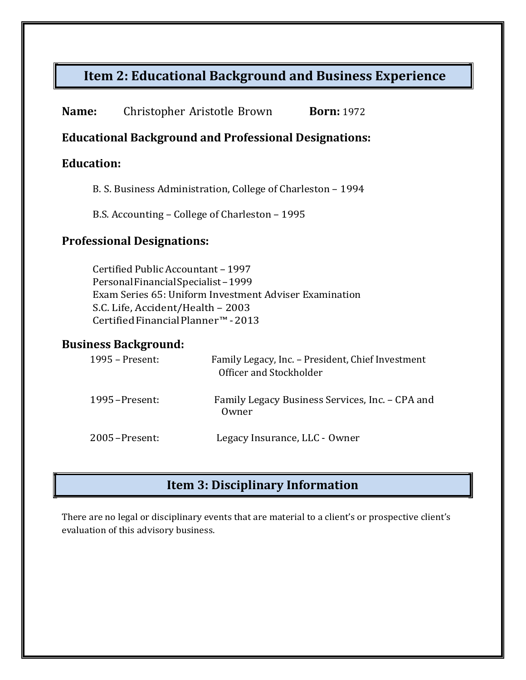## **Item 2: Educational Background and Business Experience**

| Name:<br>Christopher Aristotle Brown | <b>Born:</b> 1972 |
|--------------------------------------|-------------------|
|--------------------------------------|-------------------|

### **Educational Background and Professional Designations:**

### **Education:**

B. S. Business Administration, College of Charleston – 1994

B.S. Accounting – College of Charleston – 1995

### **Professional Designations:**

Certified Public Accountant – 1997 PersonalFinancialSpecialist–1999 Exam Series 65: Uniform Investment Adviser Examination S.C. Life, Accident/Health – 2003 CertifiedFinancialPlanner™ -2013

### **Business Background:**

| 1995 – Present:  | Family Legacy, Inc. - President, Chief Investment<br>Officer and Stockholder |
|------------------|------------------------------------------------------------------------------|
| $1995$ -Present: | Family Legacy Business Services, Inc. - CPA and<br>Owner                     |
| $2005$ -Present: | Legacy Insurance, LLC - Owner                                                |

## **Item 3: Disciplinary Information**

There are no legal or disciplinary events that are material to a client's or prospective client's evaluation of this advisory business.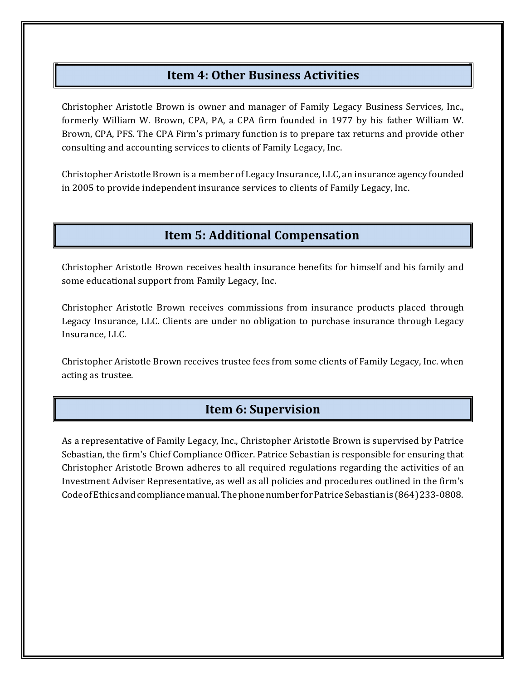### **Item 4: Other Business Activities**

Christopher Aristotle Brown is owner and manager of Family Legacy Business Services, Inc., formerly William W. Brown, CPA, PA, a CPA firm founded in 1977 by his father William W. Brown, CPA, PFS. The CPA Firm's primary function is to prepare tax returns and provide other consulting and accounting services to clients of Family Legacy, Inc.

Christopher Aristotle Brown is a member of Legacy Insurance, LLC, an insurance agency founded in 2005 to provide independent insurance services to clients of Family Legacy, Inc.

## **Item 5: Additional Compensation**

Christopher Aristotle Brown receives health insurance benefits for himself and his family and some educational support from Family Legacy, Inc.

Christopher Aristotle Brown receives commissions from insurance products placed through Legacy Insurance, LLC. Clients are under no obligation to purchase insurance through Legacy Insurance, LLC.

Christopher Aristotle Brown receives trustee fees from some clients of Family Legacy, Inc. when acting as trustee.

## **Item 6: Supervision**

As a representative of Family Legacy, Inc., Christopher Aristotle Brown is supervised by Patrice Sebastian, the firm's Chief Compliance Officer. Patrice Sebastian is responsible for ensuring that Christopher Aristotle Brown adheres to all required regulations regarding the activities of an Investment Adviser Representative, as well as all policies and procedures outlined in the firm's CodeofEthicsandcompliancemanual.ThephonenumberforPatriceSebastianis(864)233-0808.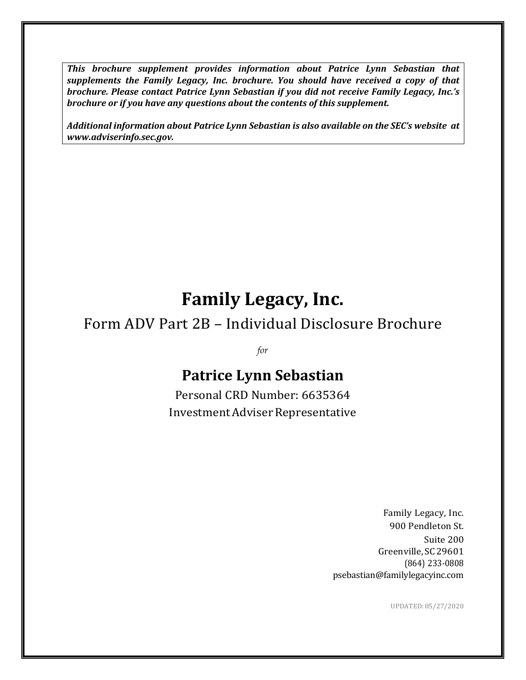*This brochure supplement provides information about Patrice Lynn Sebastian that supplements the Family Legacy, Inc. brochure. You should have received a copy of that brochure. Please contact Patrice Lynn Sebastian if you did not receive Family Legacy, Inc.'s brochure or if you have any questions about the contents of this supplement.*

*Additional information about Patrice Lynn Sebastian is also available on the SEC's website at www.adviserinfo.sec.gov.*

# **Family Legacy, Inc.**

# Form ADV Part 2B – Individual Disclosure Brochure

*for*

# **Patrice Lynn Sebastian**

Personal CRD Number: 6635364 Investment Adviser Representative

> Family Legacy, Inc. 900 Pendleton St. Suite 200 Greenville, SC29601 (864) 233-0808 psebastian@familylegacyinc.com

> > UPDATED:05/27/2020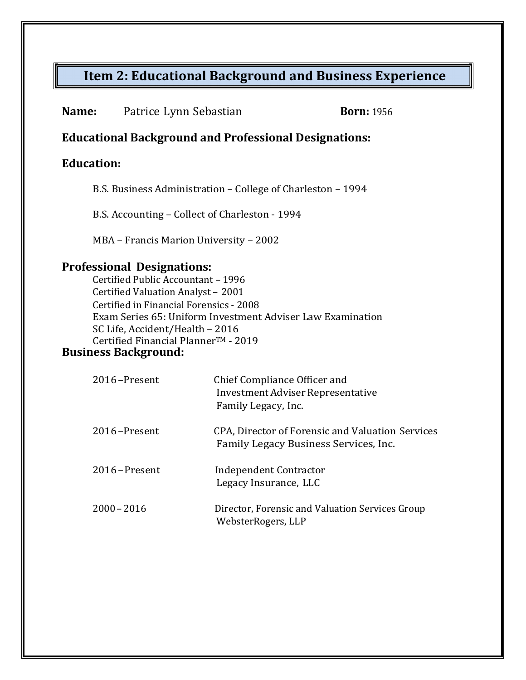# **Item 2: Educational Background and Business Experience**

**Born:** 1956

### **Educational Background and Professional Designations:**

### **Education:**

B.S. Business Administration – College of Charleston – 1994

B.S. Accounting – Collect of Charleston - 1994

MBA – Francis Marion University – 2002

### **Professional Designations:**

Certified Public Accountant – 1996 Certified Valuation Analyst – 2001 Certified in Financial Forensics - 2008 Exam Series 65: Uniform Investment Adviser Law Examination SC Life, Accident/Health – 2016 Certified Financial Planner™ - 2019

### **Business Background:**

| 2016-Present     | Chief Compliance Officer and<br>Investment Adviser Representative<br>Family Legacy, Inc.  |
|------------------|-------------------------------------------------------------------------------------------|
| 2016-Present     | CPA, Director of Forensic and Valuation Services<br>Family Legacy Business Services, Inc. |
| $2016$ – Present | Independent Contractor<br>Legacy Insurance, LLC                                           |
| $2000 - 2016$    | Director, Forensic and Valuation Services Group<br>WebsterRogers, LLP                     |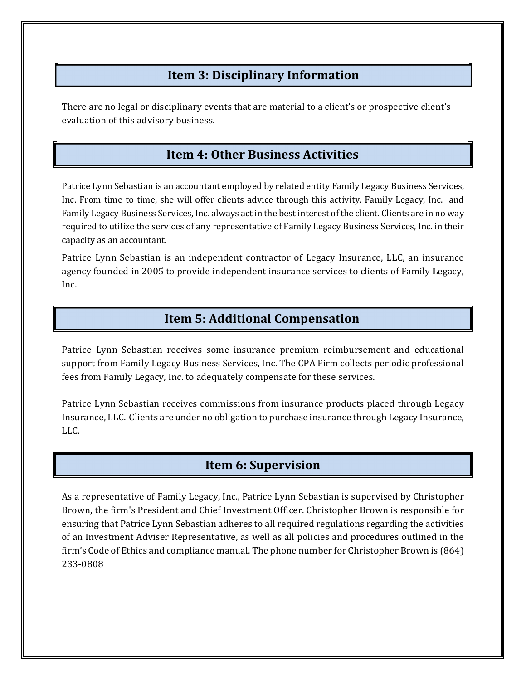### **Item 3: Disciplinary Information**

There are no legal or disciplinary events that are material to a client's or prospective client's evaluation of this advisory business.

## **Item 4: Other Business Activities**

Patrice Lynn Sebastian is an accountant employed by related entity Family Legacy Business Services, Inc. From time to time, she will offer clients advice through this activity. Family Legacy, Inc. and Family Legacy Business Services, Inc. always act in the best interest of the client. Clients are in no way required to utilize the services of any representative of Family Legacy Business Services, Inc. in their capacity as an accountant.

Patrice Lynn Sebastian is an independent contractor of Legacy Insurance, LLC, an insurance agency founded in 2005 to provide independent insurance services to clients of Family Legacy, Inc.

### **Item 5: Additional Compensation**

Patrice Lynn Sebastian receives some insurance premium reimbursement and educational support from Family Legacy Business Services, Inc. The CPA Firm collects periodic professional fees from Family Legacy, Inc. to adequately compensate for these services.

Patrice Lynn Sebastian receives commissions from insurance products placed through Legacy Insurance, LLC. Clients are under no obligation to purchase insurance through Legacy Insurance, LLC.

### **Item 6: Supervision**

As a representative of Family Legacy, Inc., Patrice Lynn Sebastian is supervised by Christopher Brown, the firm's President and Chief Investment Officer. Christopher Brown is responsible for ensuring that Patrice Lynn Sebastian adheres to all required regulations regarding the activities of an Investment Adviser Representative, as well as all policies and procedures outlined in the firm's Code of Ethics and compliance manual. The phone number for Christopher Brown is (864) 233-0808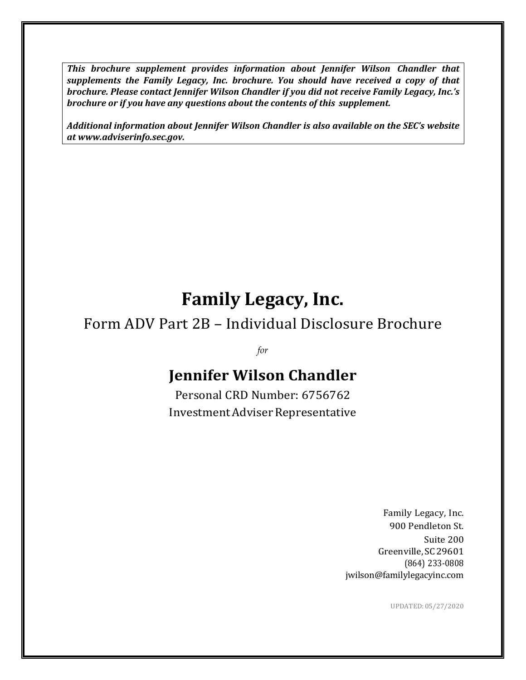*This brochure supplement provides information about Jennifer Wilson Chandler that supplements the Family Legacy, Inc. brochure. You should have received a copy of that brochure. Please contact Jennifer Wilson Chandler if you did not receive Family Legacy, Inc.'s brochure or if you have any questions about the contents of this supplement.*

*Additional information about Jennifer Wilson Chandler is also available on the SEC's website at www.adviserinfo.sec.gov.*

# **Family Legacy, Inc.**

# Form ADV Part 2B – Individual Disclosure Brochure

*for*

# **Jennifer Wilson Chandler**

Personal CRD Number: 6756762 Investment Adviser Representative

> Family Legacy, Inc. 900 Pendleton St. Suite 200 Greenville, SC29601 (864) 233-0808 jwilson@familylegacyinc.com

> > UPDATED:05/27/2020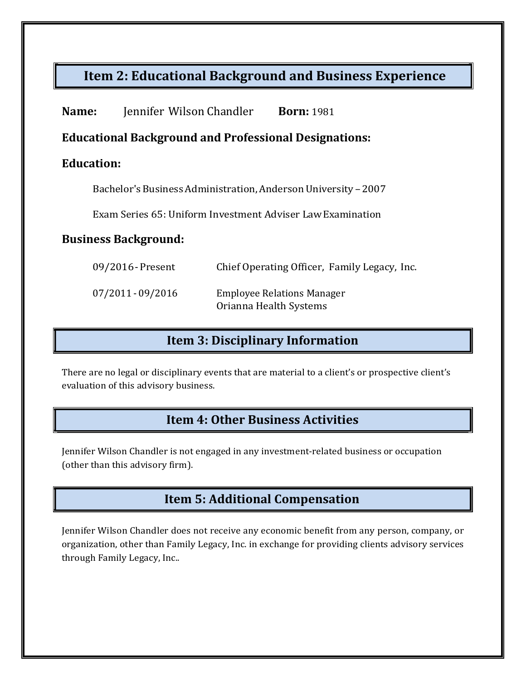## **Item 2: Educational Background and Business Experience**

| Name: | Jennifer Wilson Chandler | <b>Born:</b> 1981 |
|-------|--------------------------|-------------------|
|-------|--------------------------|-------------------|

### **Educational Background and Professional Designations:**

### **Education:**

Bachelor's Business Administration, Anderson University - 2007

Exam Series 65: Uniform Investment Adviser LawExamination

### **Business Background:**

| 09/2016 - Present | Chief Operating Officer, Family Legacy, Inc.                |
|-------------------|-------------------------------------------------------------|
| 07/2011 - 09/2016 | <b>Employee Relations Manager</b><br>Orianna Health Systems |

### **Item 3: Disciplinary Information**

There are no legal or disciplinary events that are material to a client's or prospective client's evaluation of this advisory business.

### **Item 4: Other Business Activities**

Jennifer Wilson Chandler is not engaged in any investment-related business or occupation (other than this advisory firm).

## **Item 5: Additional Compensation**

Jennifer Wilson Chandler does not receive any economic benefit from any person, company, or organization, other than Family Legacy, Inc. in exchange for providing clients advisory services through Family Legacy, Inc..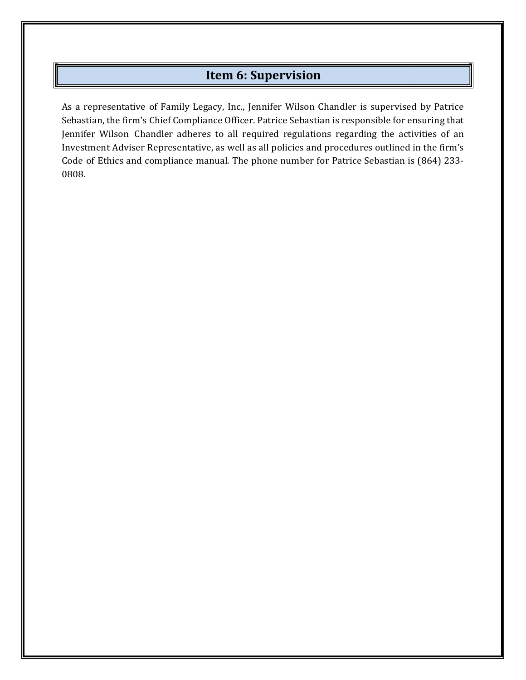### **Item 6: Supervision**

As a representative of Family Legacy, Inc., Jennifer Wilson Chandler is supervised by Patrice Sebastian, the firm's Chief Compliance Officer. Patrice Sebastian is responsible for ensuring that Jennifer Wilson Chandler adheres to all required regulations regarding the activities of an Investment Adviser Representative, as well as all policies and procedures outlined in the firm's Code of Ethics and compliance manual. The phone number for Patrice Sebastian is (864) 233- 0808.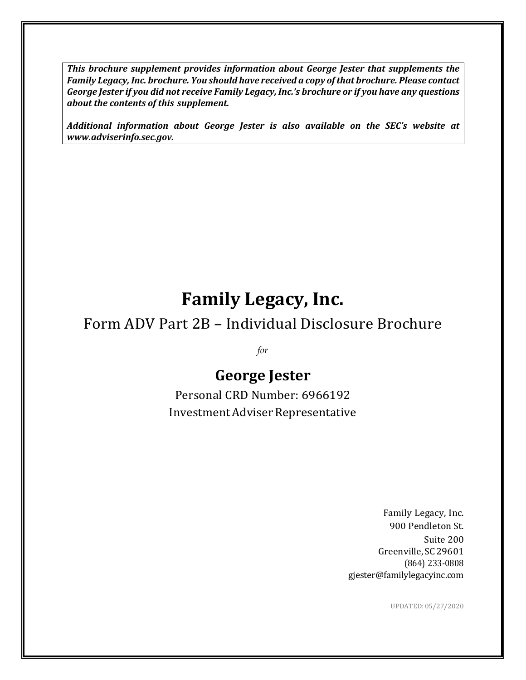*This brochure supplement provides information about George Jester that supplements the Family Legacy, Inc. brochure. You should have received a copy ofthat brochure. Please contact George Jester if you did not receive Family Legacy, Inc.'s brochure or if you have any questions about the contents of this supplement.*

*Additional information about George Jester is also available on the SEC's website at www.adviserinfo.sec.gov.*

# **Family Legacy, Inc.**

# Form ADV Part 2B – Individual Disclosure Brochure

*for*

# **George Jester**

Personal CRD Number: 6966192 Investment Adviser Representative

> Family Legacy, Inc. 900 Pendleton St. Suite 200 Greenville, SC29601 (864) 233-0808 gjester@familylegacyinc.com

> > UPDATED:05/27/2020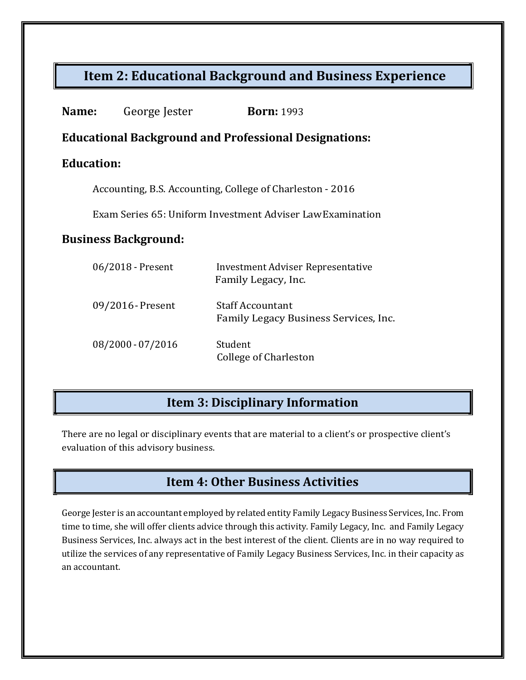## **Item 2: Educational Background and Business Experience**

| Name:                                                     | George Jester                                                | <b>Born:</b> 1993                                                |  |  |
|-----------------------------------------------------------|--------------------------------------------------------------|------------------------------------------------------------------|--|--|
|                                                           | <b>Educational Background and Professional Designations:</b> |                                                                  |  |  |
|                                                           | <b>Education:</b>                                            |                                                                  |  |  |
| Accounting, B.S. Accounting, College of Charleston - 2016 |                                                              |                                                                  |  |  |
|                                                           | Exam Series 65: Uniform Investment Adviser Law Examination   |                                                                  |  |  |
| <b>Business Background:</b>                               |                                                              |                                                                  |  |  |
|                                                           | 06/2018 - Present                                            | Investment Adviser Representative<br>Family Legacy, Inc.         |  |  |
|                                                           | 09/2016 - Present                                            | <b>Staff Accountant</b><br>Family Legacy Business Services, Inc. |  |  |
|                                                           | 08/2000 - 07/2016                                            | Student<br><b>College of Charleston</b>                          |  |  |

## **Item 3: Disciplinary Information**

There are no legal or disciplinary events that are material to a client's or prospective client's evaluation of this advisory business.

## **Item 4: Other Business Activities**

George Jester is an accountant employed by related entity Family Legacy Business Services, Inc. From time to time, she will offer clients advice through this activity. Family Legacy, Inc. and Family Legacy Business Services, Inc. always act in the best interest of the client. Clients are in no way required to utilize the services of any representative of Family Legacy Business Services, Inc. in their capacity as an accountant.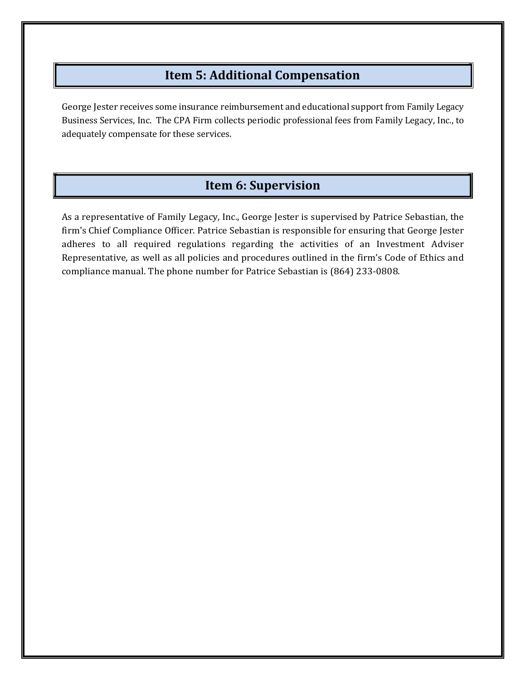### **Item 5: Additional Compensation**

George Jester receives some insurance reimbursement and educational support from Family Legacy Business Services, Inc. The CPA Firm collects periodic professional fees from Family Legacy, Inc., to adequately compensate for these services.

## **Item 6: Supervision**

As a representative of Family Legacy, Inc., George Jester is supervised by Patrice Sebastian, the firm's Chief Compliance Officer. Patrice Sebastian is responsible for ensuring that George Jester adheres to all required regulations regarding the activities of an Investment Adviser Representative, as well as all policies and procedures outlined in the firm's Code of Ethics and compliance manual. The phone number for Patrice Sebastian is (864) 233-0808.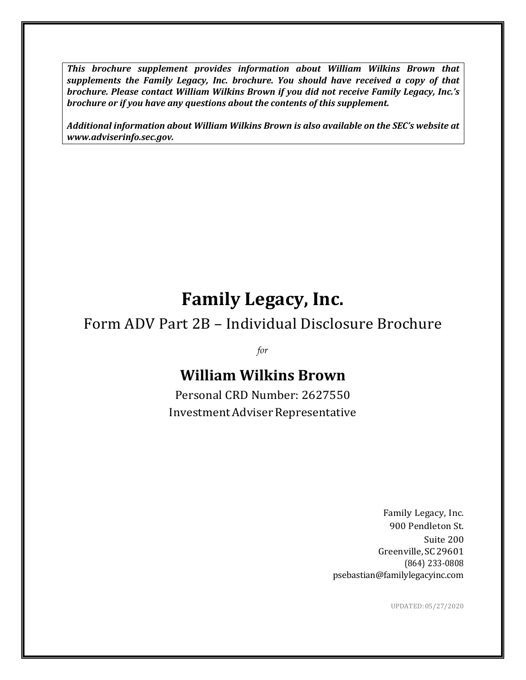*This brochure supplement provides information about William Wilkins Brown that supplements the Family Legacy, Inc. brochure. You should have received a copy of that brochure. Please contact William Wilkins Brown if you did not receive Family Legacy, Inc.'s brochure or if you have any questions about the contents of this supplement.*

*Additional information about William Wilkins Brown is also available on the SEC's website at www.adviserinfo.sec.gov.*

# **Family Legacy, Inc.**

# Form ADV Part 2B – Individual Disclosure Brochure

*for*

# **William Wilkins Brown**

Personal CRD Number: 2627550 Investment Adviser Representative

> Family Legacy, Inc. 900 Pendleton St. Suite 200 Greenville, SC29601 (864) 233-0808 psebastian@familylegacyinc.com

> > UPDATED:05/27/2020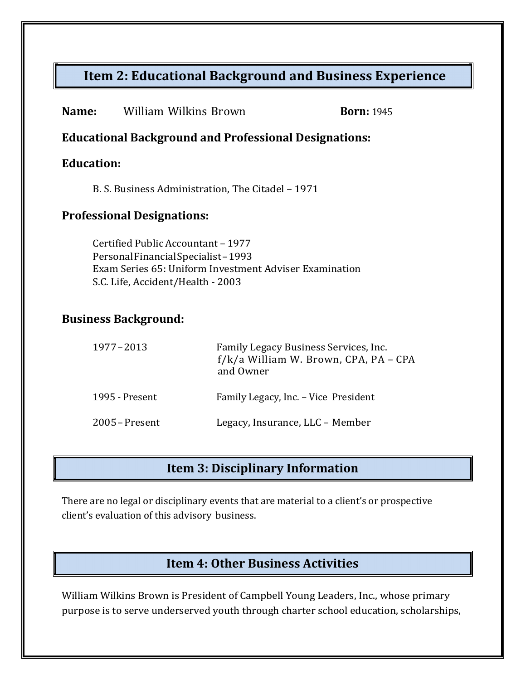# **Item 2: Educational Background and Business Experience**

| Name:                                                                                                                                                                                                  | <b>William Wilkins Brown</b>                      |                                                                                             | <b>Born: 1945</b> |
|--------------------------------------------------------------------------------------------------------------------------------------------------------------------------------------------------------|---------------------------------------------------|---------------------------------------------------------------------------------------------|-------------------|
|                                                                                                                                                                                                        |                                                   | <b>Educational Background and Professional Designations:</b>                                |                   |
|                                                                                                                                                                                                        | <b>Education:</b>                                 |                                                                                             |                   |
|                                                                                                                                                                                                        | B. S. Business Administration, The Citadel - 1971 |                                                                                             |                   |
| <b>Professional Designations:</b>                                                                                                                                                                      |                                                   |                                                                                             |                   |
| Certified Public Accountant - 1977<br>Personal Financial Specialist-1993<br>Exam Series 65: Uniform Investment Adviser Examination<br>S.C. Life, Accident/Health - 2003<br><b>Business Background:</b> |                                                   |                                                                                             |                   |
|                                                                                                                                                                                                        | 1977-2013                                         | Family Legacy Business Services, Inc.<br>f/k/a William W. Brown, CPA, PA - CPA<br>and Owner |                   |
|                                                                                                                                                                                                        | 1995 - Present                                    | Family Legacy, Inc. - Vice President                                                        |                   |
|                                                                                                                                                                                                        | 2005 – Present                                    | Legacy, Insurance, LLC - Member                                                             |                   |
|                                                                                                                                                                                                        |                                                   |                                                                                             |                   |
| <b>Item 3: Disciplinary Information</b>                                                                                                                                                                |                                                   |                                                                                             |                   |

There are no legal or disciplinary events that are material to a client's or prospective client's evaluation of this advisory business.

# **Item 4: Other Business Activities**

William Wilkins Brown is President of Campbell Young Leaders, Inc., whose primary purpose is to serve underserved youth through charter school education, scholarships,